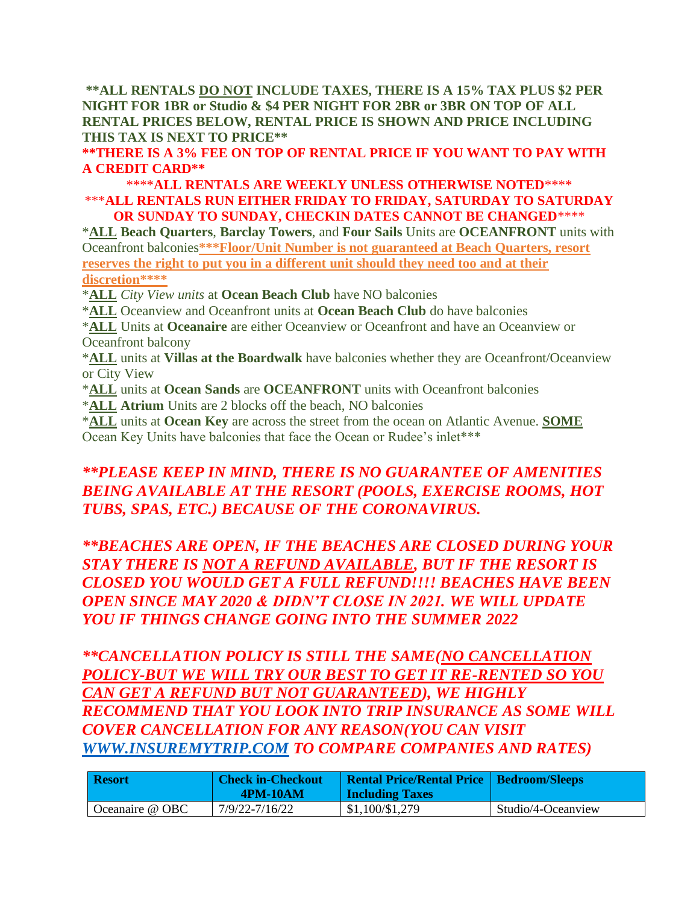**\*\*ALL RENTALS DO NOT INCLUDE TAXES, THERE IS A 15% TAX PLUS \$2 PER NIGHT FOR 1BR or Studio & \$4 PER NIGHT FOR 2BR or 3BR ON TOP OF ALL RENTAL PRICES BELOW, RENTAL PRICE IS SHOWN AND PRICE INCLUDING THIS TAX IS NEXT TO PRICE\*\***

**\*\*THERE IS A 3% FEE ON TOP OF RENTAL PRICE IF YOU WANT TO PAY WITH A CREDIT CARD\*\***

## \*\*\*\***ALL RENTALS ARE WEEKLY UNLESS OTHERWISE NOTED**\*\*\*\* \*\*\***ALL RENTALS RUN EITHER FRIDAY TO FRIDAY, SATURDAY TO SATURDAY OR SUNDAY TO SUNDAY, CHECKIN DATES CANNOT BE CHANGED**\*\*\*\*

\***ALL Beach Quarters**, **Barclay Towers**, and **Four Sails** Units are **OCEANFRONT** units with Oceanfront balconies**\*\*\*Floor/Unit Number is not guaranteed at Beach Quarters, resort reserves the right to put you in a different unit should they need too and at their discretion\*\*\*\***

\***ALL** *City View units* at **Ocean Beach Club** have NO balconies

\***ALL** Oceanview and Oceanfront units at **Ocean Beach Club** do have balconies

\***ALL** Units at **Oceanaire** are either Oceanview or Oceanfront and have an Oceanview or Oceanfront balcony

\***ALL** units at **Villas at the Boardwalk** have balconies whether they are Oceanfront/Oceanview or City View

- \***ALL** units at **Ocean Sands** are **OCEANFRONT** units with Oceanfront balconies
- \***ALL Atrium** Units are 2 blocks off the beach, NO balconies

\***ALL** units at **Ocean Key** are across the street from the ocean on Atlantic Avenue. **SOME** Ocean Key Units have balconies that face the Ocean or Rudee's inlet\*\*\*

## *\*\*PLEASE KEEP IN MIND, THERE IS NO GUARANTEE OF AMENITIES BEING AVAILABLE AT THE RESORT (POOLS, EXERCISE ROOMS, HOT TUBS, SPAS, ETC.) BECAUSE OF THE CORONAVIRUS.*

*\*\*BEACHES ARE OPEN, IF THE BEACHES ARE CLOSED DURING YOUR STAY THERE IS NOT A REFUND AVAILABLE, BUT IF THE RESORT IS CLOSED YOU WOULD GET A FULL REFUND!!!! BEACHES HAVE BEEN OPEN SINCE MAY 2020 & DIDN'T CLOSE IN 2021. WE WILL UPDATE YOU IF THINGS CHANGE GOING INTO THE SUMMER 2022*

*\*\*CANCELLATION POLICY IS STILL THE SAME(NO CANCELLATION POLICY-BUT WE WILL TRY OUR BEST TO GET IT RE-RENTED SO YOU CAN GET A REFUND BUT NOT GUARANTEED), WE HIGHLY RECOMMEND THAT YOU LOOK INTO TRIP INSURANCE AS SOME WILL COVER CANCELLATION FOR ANY REASON(YOU CAN VISIT [WWW.INSUREMYTRIP.COM](http://www.insuremytrip.com/) TO COMPARE COMPANIES AND RATES)*

| Resort          | <b>Check in-Checkout</b><br><b>4PM-10AM</b> | Rental Price/Rental Price   Bedroom/Sleeps  <br><b>Including Taxes</b> |                    |
|-----------------|---------------------------------------------|------------------------------------------------------------------------|--------------------|
| Oceanaire @ OBC | 7/9/22-7/16/22                              | \$1,100/\$1,279                                                        | Studio/4-Oceanview |